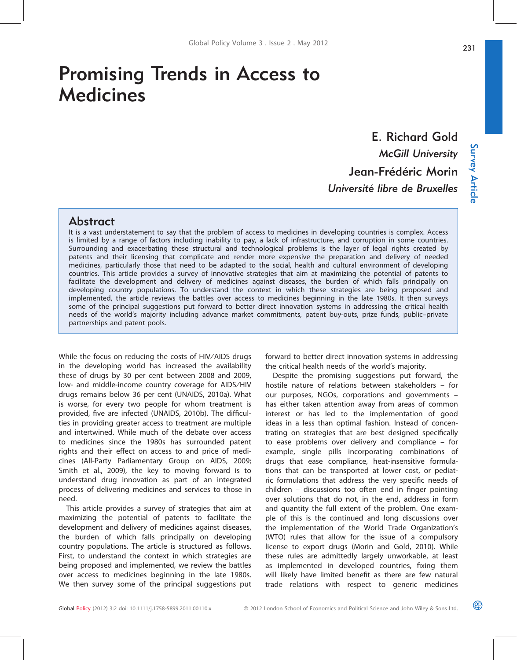# Promising Trends in Access to **Medicines**

E. Richard Gold **McGill University** Jean-Frédéric Morin Université libre de Bruxelles

# Abstract

It is a vast understatement to say that the problem of access to medicines in developing countries is complex. Access is limited by a range of factors including inability to pay, a lack of infrastructure, and corruption in some countries. Surrounding and exacerbating these structural and technological problems is the layer of legal rights created by patents and their licensing that complicate and render more expensive the preparation and delivery of needed medicines, particularly those that need to be adapted to the social, health and cultural environment of developing countries. This article provides a survey of innovative strategies that aim at maximizing the potential of patents to facilitate the development and delivery of medicines against diseases, the burden of which falls principally on developing country populations. To understand the context in which these strategies are being proposed and implemented, the article reviews the battles over access to medicines beginning in the late 1980s. It then surveys some of the principal suggestions put forward to better direct innovation systems in addressing the critical health needs of the world's majority including advance market commitments, patent buy-outs, prize funds, public–private partnerships and patent pools.

While the focus on reducing the costs of HIV/AIDS drugs in the developing world has increased the availability these of drugs by 30 per cent between 2008 and 2009, low- and middle-income country coverage for AIDS/HIV drugs remains below 36 per cent (UNAIDS, 2010a). What is worse, for every two people for whom treatment is provided, five are infected (UNAIDS, 2010b). The difficulties in providing greater access to treatment are multiple and intertwined. While much of the debate over access to medicines since the 1980s has surrounded patent rights and their effect on access to and price of medicines (All-Party Parliamentary Group on AIDS, 2009; Smith et al., 2009), the key to moving forward is to understand drug innovation as part of an integrated process of delivering medicines and services to those in need.

This article provides a survey of strategies that aim at maximizing the potential of patents to facilitate the development and delivery of medicines against diseases, the burden of which falls principally on developing country populations. The article is structured as follows. First, to understand the context in which strategies are being proposed and implemented, we review the battles over access to medicines beginning in the late 1980s. We then survey some of the principal suggestions put forward to better direct innovation systems in addressing the critical health needs of the world's majority.

Despite the promising suggestions put forward, the hostile nature of relations between stakeholders – for our purposes, NGOs, corporations and governments – has either taken attention away from areas of common interest or has led to the implementation of good ideas in a less than optimal fashion. Instead of concentrating on strategies that are best designed specifically to ease problems over delivery and compliance – for example, single pills incorporating combinations of drugs that ease compliance, heat-insensitive formulations that can be transported at lower cost, or pediatric formulations that address the very specific needs of children – discussions too often end in finger pointing over solutions that do not, in the end, address in form and quantity the full extent of the problem. One example of this is the continued and long discussions over the implementation of the World Trade Organization's (WTO) rules that allow for the issue of a compulsory license to export drugs (Morin and Gold, 2010). While these rules are admittedly largely unworkable, at least as implemented in developed countries, fixing them will likely have limited benefit as there are few natural trade relations with respect to generic medicines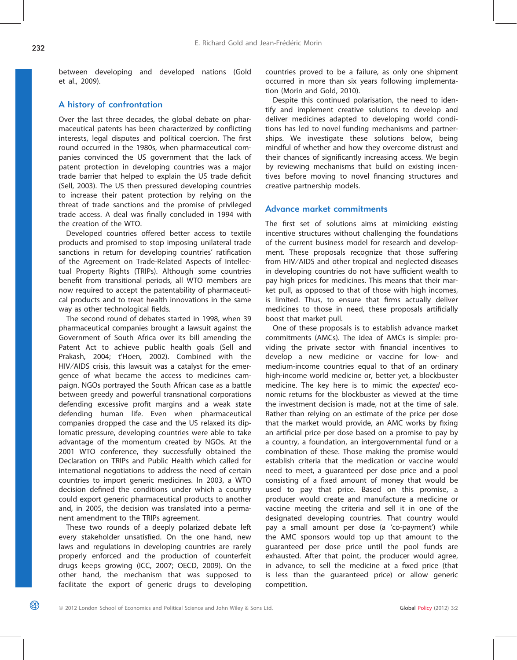between developing and developed nations (Gold et al., 2009).

# A history of confrontation

Over the last three decades, the global debate on pharmaceutical patents has been characterized by conflicting interests, legal disputes and political coercion. The first round occurred in the 1980s, when pharmaceutical companies convinced the US government that the lack of patent protection in developing countries was a major trade barrier that helped to explain the US trade deficit (Sell, 2003). The US then pressured developing countries to increase their patent protection by relying on the threat of trade sanctions and the promise of privileged trade access. A deal was finally concluded in 1994 with the creation of the WTO.

Developed countries offered better access to textile products and promised to stop imposing unilateral trade sanctions in return for developing countries' ratification of the Agreement on Trade-Related Aspects of Intellectual Property Rights (TRIPs). Although some countries benefit from transitional periods, all WTO members are now required to accept the patentability of pharmaceutical products and to treat health innovations in the same way as other technological fields.

The second round of debates started in 1998, when 39 pharmaceutical companies brought a lawsuit against the Government of South Africa over its bill amending the Patent Act to achieve public health goals (Sell and Prakash, 2004; t'Hoen, 2002). Combined with the HIV/AIDS crisis, this lawsuit was a catalyst for the emergence of what became the access to medicines campaign. NGOs portrayed the South African case as a battle between greedy and powerful transnational corporations defending excessive profit margins and a weak state defending human life. Even when pharmaceutical companies dropped the case and the US relaxed its diplomatic pressure, developing countries were able to take advantage of the momentum created by NGOs. At the 2001 WTO conference, they successfully obtained the Declaration on TRIPs and Public Health which called for international negotiations to address the need of certain countries to import generic medicines. In 2003, a WTO decision defined the conditions under which a country could export generic pharmaceutical products to another and, in 2005, the decision was translated into a permanent amendment to the TRIPs agreement.

These two rounds of a deeply polarized debate left every stakeholder unsatisfied. On the one hand, new laws and regulations in developing countries are rarely properly enforced and the production of counterfeit drugs keeps growing (ICC, 2007; OECD, 2009). On the other hand, the mechanism that was supposed to facilitate the export of generic drugs to developing countries proved to be a failure, as only one shipment occurred in more than six years following implementation (Morin and Gold, 2010).

Despite this continued polarisation, the need to identify and implement creative solutions to develop and deliver medicines adapted to developing world conditions has led to novel funding mechanisms and partnerships. We investigate these solutions below, being mindful of whether and how they overcome distrust and their chances of significantly increasing access. We begin by reviewing mechanisms that build on existing incentives before moving to novel financing structures and creative partnership models.

#### Advance market commitments

The first set of solutions aims at mimicking existing incentive structures without challenging the foundations of the current business model for research and development. These proposals recognize that those suffering from HIV/AIDS and other tropical and neglected diseases in developing countries do not have sufficient wealth to pay high prices for medicines. This means that their market pull, as opposed to that of those with high incomes, is limited. Thus, to ensure that firms actually deliver medicines to those in need, these proposals artificially boost that market pull.

One of these proposals is to establish advance market commitments (AMCs). The idea of AMCs is simple: providing the private sector with financial incentives to develop a new medicine or vaccine for low- and medium-income countries equal to that of an ordinary high-income world medicine or, better yet, a blockbuster medicine. The key here is to mimic the expected economic returns for the blockbuster as viewed at the time the investment decision is made, not at the time of sale. Rather than relying on an estimate of the price per dose that the market would provide, an AMC works by fixing an artificial price per dose based on a promise to pay by a country, a foundation, an intergovernmental fund or a combination of these. Those making the promise would establish criteria that the medication or vaccine would need to meet, a guaranteed per dose price and a pool consisting of a fixed amount of money that would be used to pay that price. Based on this promise, a producer would create and manufacture a medicine or vaccine meeting the criteria and sell it in one of the designated developing countries. That country would pay a small amount per dose (a 'co-payment') while the AMC sponsors would top up that amount to the guaranteed per dose price until the pool funds are exhausted. After that point, the producer would agree, in advance, to sell the medicine at a fixed price (that is less than the guaranteed price) or allow generic competition.

(QP)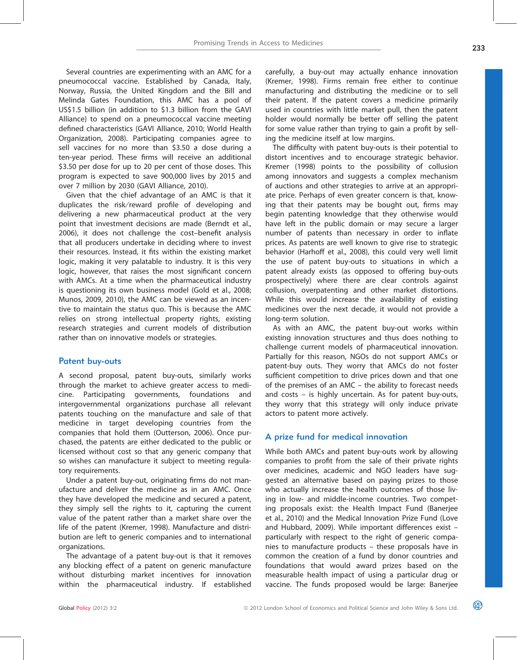Several countries are experimenting with an AMC for a pneumococcal vaccine. Established by Canada, Italy, Norway, Russia, the United Kingdom and the Bill and Melinda Gates Foundation, this AMC has a pool of US\$1.5 billion (in addition to \$1.3 billion from the GAVI Alliance) to spend on a pneumococcal vaccine meeting defined characteristics (GAVI Alliance, 2010; World Health Organization, 2008). Participating companies agree to sell vaccines for no more than \$3.50 a dose during a ten-year period. These firms will receive an additional \$3.50 per dose for up to 20 per cent of those doses. This program is expected to save 900,000 lives by 2015 and over 7 million by 2030 (GAVI Alliance, 2010).

Given that the chief advantage of an AMC is that it duplicates the risk/reward profile of developing and delivering a new pharmaceutical product at the very point that investment decisions are made (Berndt et al., 2006), it does not challenge the cost–benefit analysis that all producers undertake in deciding where to invest their resources. Instead, it fits within the existing market logic, making it very palatable to industry. It is this very logic, however, that raises the most significant concern with AMCs. At a time when the pharmaceutical industry is questioning its own business model (Gold et al., 2008; Munos, 2009, 2010), the AMC can be viewed as an incentive to maintain the status quo. This is because the AMC relies on strong intellectual property rights, existing research strategies and current models of distribution rather than on innovative models or strategies.

#### Patent buy-outs

A second proposal, patent buy-outs, similarly works through the market to achieve greater access to medicine. Participating governments, foundations and intergovernmental organizations purchase all relevant patents touching on the manufacture and sale of that medicine in target developing countries from the companies that hold them (Outterson, 2006). Once purchased, the patents are either dedicated to the public or licensed without cost so that any generic company that so wishes can manufacture it subject to meeting regulatory requirements.

Under a patent buy-out, originating firms do not manufacture and deliver the medicine as in an AMC. Once they have developed the medicine and secured a patent, they simply sell the rights to it, capturing the current value of the patent rather than a market share over the life of the patent (Kremer, 1998). Manufacture and distribution are left to generic companies and to international organizations.

The advantage of a patent buy-out is that it removes any blocking effect of a patent on generic manufacture without disturbing market incentives for innovation within the pharmaceutical industry. If established carefully, a buy-out may actually enhance innovation (Kremer, 1998). Firms remain free either to continue manufacturing and distributing the medicine or to sell their patent. If the patent covers a medicine primarily used in countries with little market pull, then the patent holder would normally be better off selling the patent for some value rather than trying to gain a profit by selling the medicine itself at low margins.

The difficulty with patent buy-outs is their potential to distort incentives and to encourage strategic behavior. Kremer (1998) points to the possibility of collusion among innovators and suggests a complex mechanism of auctions and other strategies to arrive at an appropriate price. Perhaps of even greater concern is that, knowing that their patents may be bought out, firms may begin patenting knowledge that they otherwise would have left in the public domain or may secure a larger number of patents than necessary in order to inflate prices. As patents are well known to give rise to strategic behavior (Harhoff et al., 2008), this could very well limit the use of patent buy-outs to situations in which a patent already exists (as opposed to offering buy-outs prospectively) where there are clear controls against collusion, overpatenting and other market distortions. While this would increase the availability of existing medicines over the next decade, it would not provide a long-term solution.

As with an AMC, the patent buy-out works within existing innovation structures and thus does nothing to challenge current models of pharmaceutical innovation. Partially for this reason, NGOs do not support AMCs or patent-buy outs. They worry that AMCs do not foster sufficient competition to drive prices down and that one of the premises of an AMC – the ability to forecast needs and costs – is highly uncertain. As for patent buy-outs, they worry that this strategy will only induce private actors to patent more actively.

## A prize fund for medical innovation

While both AMCs and patent buy-outs work by allowing companies to profit from the sale of their private rights over medicines, academic and NGO leaders have suggested an alternative based on paying prizes to those who actually increase the health outcomes of those living in low- and middle-income countries. Two competing proposals exist: the Health Impact Fund (Banerjee et al., 2010) and the Medical Innovation Prize Fund (Love and Hubbard, 2009). While important differences exist – particularly with respect to the right of generic companies to manufacture products – these proposals have in common the creation of a fund by donor countries and foundations that would award prizes based on the measurable health impact of using a particular drug or vaccine. The funds proposed would be large: Banerjee

ඖ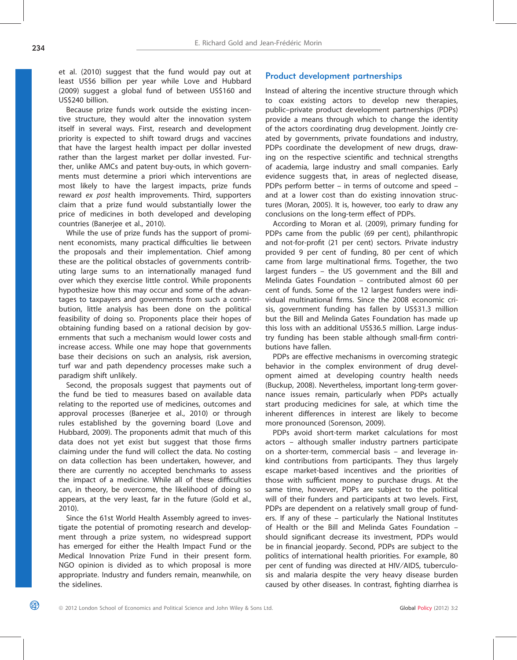et al. (2010) suggest that the fund would pay out at least US\$6 billion per year while Love and Hubbard (2009) suggest a global fund of between US\$160 and US\$240 billion.

Because prize funds work outside the existing incentive structure, they would alter the innovation system itself in several ways. First, research and development priority is expected to shift toward drugs and vaccines that have the largest health impact per dollar invested rather than the largest market per dollar invested. Further, unlike AMCs and patent buy-outs, in which governments must determine a priori which interventions are most likely to have the largest impacts, prize funds reward ex post health improvements. Third, supporters claim that a prize fund would substantially lower the price of medicines in both developed and developing countries (Banerjee et al., 2010).

While the use of prize funds has the support of prominent economists, many practical difficulties lie between the proposals and their implementation. Chief among these are the political obstacles of governments contributing large sums to an internationally managed fund over which they exercise little control. While proponents hypothesize how this may occur and some of the advantages to taxpayers and governments from such a contribution, little analysis has been done on the political feasibility of doing so. Proponents place their hopes of obtaining funding based on a rational decision by governments that such a mechanism would lower costs and increase access. While one may hope that governments base their decisions on such an analysis, risk aversion, turf war and path dependency processes make such a paradigm shift unlikely.

Second, the proposals suggest that payments out of the fund be tied to measures based on available data relating to the reported use of medicines, outcomes and approval processes (Banerjee et al., 2010) or through rules established by the governing board (Love and Hubbard, 2009). The proponents admit that much of this data does not yet exist but suggest that those firms claiming under the fund will collect the data. No costing on data collection has been undertaken, however, and there are currently no accepted benchmarks to assess the impact of a medicine. While all of these difficulties can, in theory, be overcome, the likelihood of doing so appears, at the very least, far in the future (Gold et al., 2010).

Since the 61st World Health Assembly agreed to investigate the potential of promoting research and development through a prize system, no widespread support has emerged for either the Health Impact Fund or the Medical Innovation Prize Fund in their present form. NGO opinion is divided as to which proposal is more appropriate. Industry and funders remain, meanwhile, on the sidelines.

### Product development partnerships

Instead of altering the incentive structure through which to coax existing actors to develop new therapies, public–private product development partnerships (PDPs) provide a means through which to change the identity of the actors coordinating drug development. Jointly created by governments, private foundations and industry, PDPs coordinate the development of new drugs, drawing on the respective scientific and technical strengths of academia, large industry and small companies. Early evidence suggests that, in areas of neglected disease, PDPs perform better – in terms of outcome and speed – and at a lower cost than do existing innovation structures (Moran, 2005). It is, however, too early to draw any conclusions on the long-term effect of PDPs.

According to Moran et al. (2009), primary funding for PDPs came from the public (69 per cent), philanthropic and not-for-profit (21 per cent) sectors. Private industry provided 9 per cent of funding, 80 per cent of which came from large multinational firms. Together, the two largest funders – the US government and the Bill and Melinda Gates Foundation – contributed almost 60 per cent of funds. Some of the 12 largest funders were individual multinational firms. Since the 2008 economic crisis, government funding has fallen by US\$31.3 million but the Bill and Melinda Gates Foundation has made up this loss with an additional US\$36.5 million. Large industry funding has been stable although small-firm contributions have fallen.

PDPs are effective mechanisms in overcoming strategic behavior in the complex environment of drug development aimed at developing country health needs (Buckup, 2008). Nevertheless, important long-term governance issues remain, particularly when PDPs actually start producing medicines for sale, at which time the inherent differences in interest are likely to become more pronounced (Sorenson, 2009).

PDPs avoid short-term market calculations for most actors – although smaller industry partners participate on a shorter-term, commercial basis – and leverage inkind contributions from participants. They thus largely escape market-based incentives and the priorities of those with sufficient money to purchase drugs. At the same time, however, PDPs are subject to the political will of their funders and participants at two levels. First, PDPs are dependent on a relatively small group of funders. If any of these – particularly the National Institutes of Health or the Bill and Melinda Gates Foundation – should significant decrease its investment, PDPs would be in financial jeopardy. Second, PDPs are subject to the politics of international health priorities. For example, 80 per cent of funding was directed at HIV/AIDS, tuberculosis and malaria despite the very heavy disease burden caused by other diseases. In contrast, fighting diarrhea is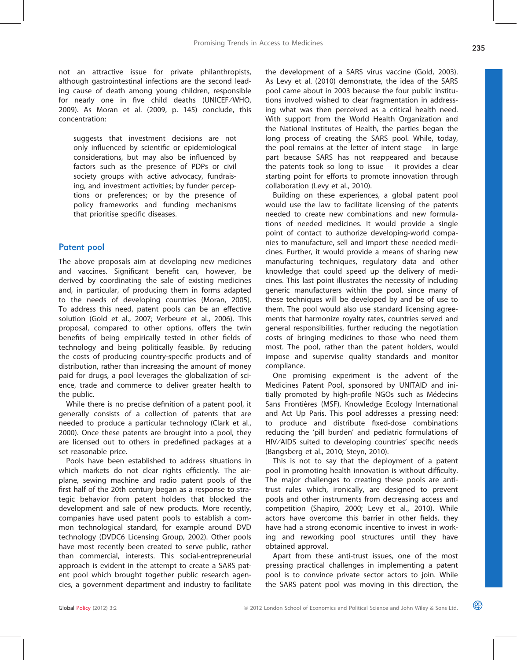not an attractive issue for private philanthropists, although gastrointestinal infections are the second leading cause of death among young children, responsible for nearly one in five child deaths (UNICEF/WHO, 2009). As Moran et al. (2009, p. 145) conclude, this concentration:

suggests that investment decisions are not only influenced by scientific or epidemiological considerations, but may also be influenced by factors such as the presence of PDPs or civil society groups with active advocacy, fundraising, and investment activities; by funder perceptions or preferences; or by the presence of policy frameworks and funding mechanisms that prioritise specific diseases.

#### Patent pool

The above proposals aim at developing new medicines and vaccines. Significant benefit can, however, be derived by coordinating the sale of existing medicines and, in particular, of producing them in forms adapted to the needs of developing countries (Moran, 2005). To address this need, patent pools can be an effective solution (Gold et al., 2007; Verbeure et al., 2006). This proposal, compared to other options, offers the twin benefits of being empirically tested in other fields of technology and being politically feasible. By reducing the costs of producing country-specific products and of distribution, rather than increasing the amount of money paid for drugs, a pool leverages the globalization of science, trade and commerce to deliver greater health to the public.

While there is no precise definition of a patent pool, it generally consists of a collection of patents that are needed to produce a particular technology (Clark et al., 2000). Once these patents are brought into a pool, they are licensed out to others in predefined packages at a set reasonable price.

Pools have been established to address situations in which markets do not clear rights efficiently. The airplane, sewing machine and radio patent pools of the first half of the 20th century began as a response to strategic behavior from patent holders that blocked the development and sale of new products. More recently, companies have used patent pools to establish a common technological standard, for example around DVD technology (DVDC6 Licensing Group, 2002). Other pools have most recently been created to serve public, rather than commercial, interests. This social-entrepreneurial approach is evident in the attempt to create a SARS patent pool which brought together public research agencies, a government department and industry to facilitate the development of a SARS virus vaccine (Gold, 2003). As Levy et al. (2010) demonstrate, the idea of the SARS pool came about in 2003 because the four public institutions involved wished to clear fragmentation in addressing what was then perceived as a critical health need. With support from the World Health Organization and the National Institutes of Health, the parties began the long process of creating the SARS pool. While, today, the pool remains at the letter of intent stage – in large part because SARS has not reappeared and because the patents took so long to issue – it provides a clear starting point for efforts to promote innovation through collaboration (Levy et al., 2010).

Building on these experiences, a global patent pool would use the law to facilitate licensing of the patents needed to create new combinations and new formulations of needed medicines. It would provide a single point of contact to authorize developing-world companies to manufacture, sell and import these needed medicines. Further, it would provide a means of sharing new manufacturing techniques, regulatory data and other knowledge that could speed up the delivery of medicines. This last point illustrates the necessity of including generic manufacturers within the pool, since many of these techniques will be developed by and be of use to them. The pool would also use standard licensing agreements that harmonize royalty rates, countries served and general responsibilities, further reducing the negotiation costs of bringing medicines to those who need them most. The pool, rather than the patent holders, would impose and supervise quality standards and monitor compliance.

One promising experiment is the advent of the Medicines Patent Pool, sponsored by UNITAID and initially promoted by high-profile NGOs such as Médecins Sans Frontières (MSF), Knowledge Ecology International and Act Up Paris. This pool addresses a pressing need: to produce and distribute fixed-dose combinations reducing the 'pill burden' and pediatric formulations of HIV/AIDS suited to developing countries' specific needs (Bangsberg et al., 2010; Steyn, 2010).

This is not to say that the deployment of a patent pool in promoting health innovation is without difficulty. The major challenges to creating these pools are antitrust rules which, ironically, are designed to prevent pools and other instruments from decreasing access and competition (Shapiro, 2000; Levy et al., 2010). While actors have overcome this barrier in other fields, they have had a strong economic incentive to invest in working and reworking pool structures until they have obtained approval.

Apart from these anti-trust issues, one of the most pressing practical challenges in implementing a patent pool is to convince private sector actors to join. While the SARS patent pool was moving in this direction, the

ඖ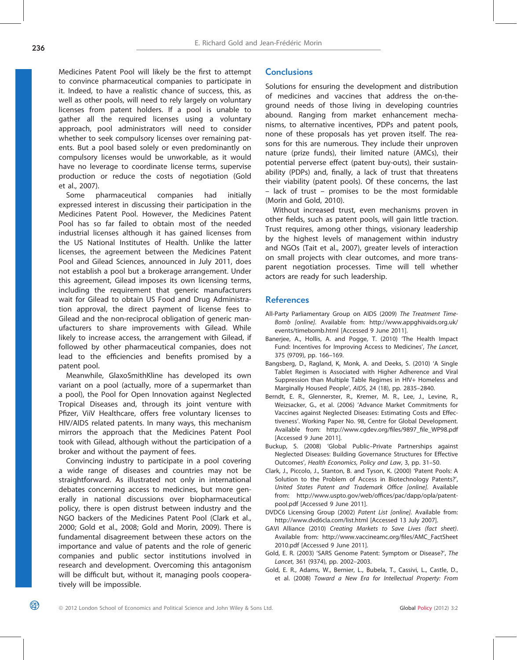Medicines Patent Pool will likely be the first to attempt to convince pharmaceutical companies to participate in it. Indeed, to have a realistic chance of success, this, as well as other pools, will need to rely largely on voluntary licenses from patent holders. If a pool is unable to gather all the required licenses using a voluntary approach, pool administrators will need to consider whether to seek compulsory licenses over remaining patents. But a pool based solely or even predominantly on compulsory licenses would be unworkable, as it would have no leverage to coordinate license terms, supervise production or reduce the costs of negotiation (Gold et al., 2007).

Some pharmaceutical companies had initially expressed interest in discussing their participation in the Medicines Patent Pool. However, the Medicines Patent Pool has so far failed to obtain most of the needed industrial licenses although it has gained licenses from the US National Institutes of Health. Unlike the latter licenses, the agreement between the Medicines Patent Pool and Gilead Sciences, announced in July 2011, does not establish a pool but a brokerage arrangement. Under this agreement, Gilead imposes its own licensing terms, including the requirement that generic manufacturers wait for Gilead to obtain US Food and Drug Administration approval, the direct payment of license fees to Gilead and the non-reciprocal obligation of generic manufacturers to share improvements with Gilead. While likely to increase access, the arrangement with Gilead, if followed by other pharmaceutical companies, does not lead to the efficiencies and benefits promised by a patent pool.

Meanwhile, GlaxoSmithKline has developed its own variant on a pool (actually, more of a supermarket than a pool), the Pool for Open Innovation against Neglected Tropical Diseases and, through its joint venture with Pfizer, ViiV Healthcare, offers free voluntary licenses to HIV/AIDS related patents. In many ways, this mechanism mirrors the approach that the Medicines Patent Pool took with Gilead, although without the participation of a broker and without the payment of fees.

Convincing industry to participate in a pool covering a wide range of diseases and countries may not be straightforward. As illustrated not only in international debates concerning access to medicines, but more generally in national discussions over biopharmaceutical policy, there is open distrust between industry and the NGO backers of the Medicines Patent Pool (Clark et al., 2000; Gold et al., 2008; Gold and Morin, 2009). There is fundamental disagreement between these actors on the importance and value of patents and the role of generic companies and public sector institutions involved in research and development. Overcoming this antagonism will be difficult but, without it, managing pools cooperatively will be impossible.

## **Conclusions**

Solutions for ensuring the development and distribution of medicines and vaccines that address the on-theground needs of those living in developing countries abound. Ranging from market enhancement mechanisms, to alternative incentives, PDPs and patent pools, none of these proposals has yet proven itself. The reasons for this are numerous. They include their unproven nature (prize funds), their limited nature (AMCs), their potential perverse effect (patent buy-outs), their sustainability (PDPs) and, finally, a lack of trust that threatens their viability (patent pools). Of these concerns, the last – lack of trust – promises to be the most formidable (Morin and Gold, 2010).

Without increased trust, even mechanisms proven in other fields, such as patent pools, will gain little traction. Trust requires, among other things, visionary leadership by the highest levels of management within industry and NGOs (Tait et al., 2007), greater levels of interaction on small projects with clear outcomes, and more transparent negotiation processes. Time will tell whether actors are ready for such leadership.

### **References**

- All-Party Parliamentary Group on AIDS (2009) The Treatment Time-Bomb [online]. Available from: http://www.appghivaids.org.uk/ events/timebomb.html [Accessed 9 June 2011].
- Banerjee, A., Hollis, A. and Pogge, T. (2010) 'The Health Impact Fund: Incentives for Improving Access to Medicines', The Lancet, 375 (9709), pp. 166–169.
- Bangsberg, D., Ragland, K, Monk, A. and Deeks, S. (2010) 'A Single Tablet Regimen is Associated with Higher Adherence and Viral Suppression than Multiple Table Regimes in HIV+ Homeless and Marginally Housed People', AIDS, 24 (18), pp. 2835–2840.
- Berndt, E. R., Glennerster, R., Kremer, M. R., Lee, J., Levine, R., Weizsacker, G., et al. (2006) 'Advance Market Commitments for Vaccines against Neglected Diseases: Estimating Costs and Effectiveness'. Working Paper No. 98, Centre for Global Development. Available from: http://www.cqdev.org/files/9897 file WP98.pdf [Accessed 9 June 2011].
- Buckup, S. (2008) 'Global Public–Private Partnerships against Neglected Diseases: Building Governance Structures for Effective Outcomes', Health Economics, Policy and Law, 3, pp. 31–50.
- Clark, J., Piccolo, J., Stanton, B. and Tyson, K. (2000) 'Patent Pools: A Solution to the Problem of Access in Biotechnology Patents?', United States Patent and Trademark Office [online]. Available from: http://www.uspto.gov/web/offices/pac/dapp/opla/patentpool.pdf [Accessed 9 June 2011].
- DVDC6 Licensing Group (2002) Patent List [online]. Available from: http://www.dvd6cla.com/list.html [Accessed 13 July 2007].
- GAVI Alliance (2010) Creating Markets to Save Lives (fact sheet). Available from: http://www.vaccineamc.org/files/AMC\_FactSheet 2010.pdf [Accessed 9 June 2011].
- Gold, E. R. (2003) 'SARS Genome Patent: Symptom or Disease?', The Lancet, 361 (9374), pp. 2002–2003.
- Gold, E. R., Adams, W., Bernier, L., Bubela, T., Cassivi, L., Castle, D., et al. (2008) Toward a New Era for Intellectual Property: From

(QP)